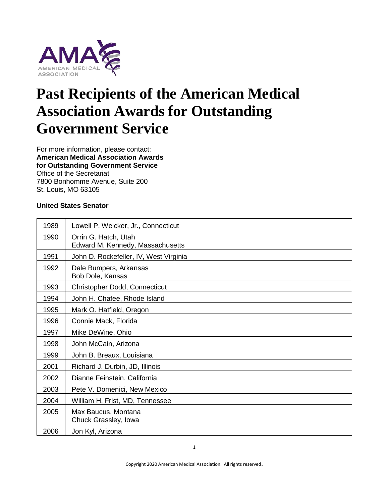

# **Past Recipients of the American Medical Association Awards for Outstanding Government Service**

For more information, please contact: **American Medical Association Awards for Outstanding Government Service** Office of the Secretariat 7800 Bonhomme Avenue, Suite 200 St. Louis, MO 63105

#### **United States Senator**

| 1989 | Lowell P. Weicker, Jr., Connecticut                      |
|------|----------------------------------------------------------|
| 1990 | Orrin G. Hatch, Utah<br>Edward M. Kennedy, Massachusetts |
| 1991 | John D. Rockefeller, IV, West Virginia                   |
| 1992 | Dale Bumpers, Arkansas<br>Bob Dole, Kansas               |
| 1993 | Christopher Dodd, Connecticut                            |
| 1994 | John H. Chafee, Rhode Island                             |
| 1995 | Mark O. Hatfield, Oregon                                 |
| 1996 | Connie Mack, Florida                                     |
| 1997 | Mike DeWine, Ohio                                        |
| 1998 | John McCain, Arizona                                     |
| 1999 | John B. Breaux, Louisiana                                |
| 2001 | Richard J. Durbin, JD, Illinois                          |
| 2002 | Dianne Feinstein, California                             |
| 2003 | Pete V. Domenici, New Mexico                             |
| 2004 | William H. Frist, MD, Tennessee                          |
| 2005 | Max Baucus, Montana<br>Chuck Grassley, Iowa              |
| 2006 | Jon Kyl, Arizona                                         |

1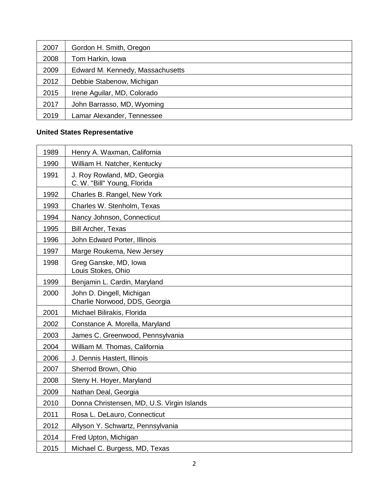| 2007 | Gordon H. Smith, Oregon          |
|------|----------------------------------|
| 2008 | Tom Harkin, Iowa                 |
| 2009 | Edward M. Kennedy, Massachusetts |
| 2012 | Debbie Stabenow, Michigan        |
| 2015 | Irene Aguilar, MD, Colorado      |
| 2017 | John Barrasso, MD, Wyoming       |
| 2019 | Lamar Alexander, Tennessee       |

## **United States Representative**

| 1989 | Henry A. Waxman, California                                |
|------|------------------------------------------------------------|
| 1990 | William H. Natcher, Kentucky                               |
| 1991 | J. Roy Rowland, MD, Georgia<br>C. W. "Bill" Young, Florida |
| 1992 | Charles B. Rangel, New York                                |
| 1993 | Charles W. Stenholm, Texas                                 |
| 1994 | Nancy Johnson, Connecticut                                 |
| 1995 | <b>Bill Archer, Texas</b>                                  |
| 1996 | John Edward Porter, Illinois                               |
| 1997 | Marge Roukema, New Jersey                                  |
| 1998 | Greg Ganske, MD, Iowa<br>Louis Stokes, Ohio                |
| 1999 | Benjamin L. Cardin, Maryland                               |
| 2000 | John D. Dingell, Michigan<br>Charlie Norwood, DDS, Georgia |
| 2001 | Michael Bilirakis, Florida                                 |
| 2002 | Constance A. Morella, Maryland                             |
| 2003 | James C. Greenwood, Pennsylvania                           |
| 2004 | William M. Thomas, California                              |
| 2006 | J. Dennis Hastert, Illinois                                |
| 2007 | Sherrod Brown, Ohio                                        |
| 2008 | Steny H. Hoyer, Maryland                                   |
| 2009 | Nathan Deal, Georgia                                       |
| 2010 | Donna Christensen, MD, U.S. Virgin Islands                 |
| 2011 | Rosa L. DeLauro, Connecticut                               |
| 2012 | Allyson Y. Schwartz, Pennsylvania                          |
| 2014 | Fred Upton, Michigan                                       |
| 2015 | Michael C. Burgess, MD, Texas                              |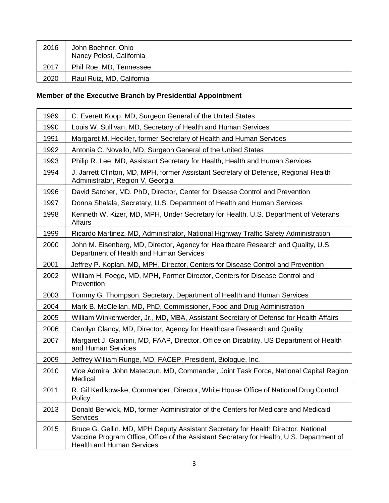| 2016 | John Boehner, Ohio<br>Nancy Pelosi, California |
|------|------------------------------------------------|
| 2017 | Phil Roe, MD, Tennessee                        |
| 2020 | Raul Ruiz, MD, California                      |

# **Member of the Executive Branch by Presidential Appointment**

| 1989 | C. Everett Koop, MD, Surgeon General of the United States                                                                                                                                                         |
|------|-------------------------------------------------------------------------------------------------------------------------------------------------------------------------------------------------------------------|
| 1990 | Louis W. Sullivan, MD, Secretary of Health and Human Services                                                                                                                                                     |
| 1991 | Margaret M. Heckler, former Secretary of Health and Human Services                                                                                                                                                |
| 1992 | Antonia C. Novello, MD, Surgeon General of the United States                                                                                                                                                      |
| 1993 | Philip R. Lee, MD, Assistant Secretary for Health, Health and Human Services                                                                                                                                      |
| 1994 | J. Jarrett Clinton, MD, MPH, former Assistant Secretary of Defense, Regional Health<br>Administrator, Region V, Georgia                                                                                           |
| 1996 | David Satcher, MD, PhD, Director, Center for Disease Control and Prevention                                                                                                                                       |
| 1997 | Donna Shalala, Secretary, U.S. Department of Health and Human Services                                                                                                                                            |
| 1998 | Kenneth W. Kizer, MD, MPH, Under Secretary for Health, U.S. Department of Veterans<br>Affairs                                                                                                                     |
| 1999 | Ricardo Martinez, MD, Administrator, National Highway Traffic Safety Administration                                                                                                                               |
| 2000 | John M. Eisenberg, MD, Director, Agency for Healthcare Research and Quality, U.S.<br>Department of Health and Human Services                                                                                      |
| 2001 | Jeffrey P. Koplan, MD, MPH, Director, Centers for Disease Control and Prevention                                                                                                                                  |
| 2002 | William H. Foege, MD, MPH, Former Director, Centers for Disease Control and<br>Prevention                                                                                                                         |
| 2003 | Tommy G. Thompson, Secretary, Department of Health and Human Services                                                                                                                                             |
| 2004 | Mark B. McClellan, MD, PhD, Commissioner, Food and Drug Administration                                                                                                                                            |
| 2005 | William Winkenwerder, Jr., MD, MBA, Assistant Secretary of Defense for Health Affairs                                                                                                                             |
| 2006 | Carolyn Clancy, MD, Director, Agency for Healthcare Research and Quality                                                                                                                                          |
| 2007 | Margaret J. Giannini, MD, FAAP, Director, Office on Disability, US Department of Health<br>and Human Services                                                                                                     |
| 2009 | Jeffrey William Runge, MD, FACEP, President, Biologue, Inc.                                                                                                                                                       |
| 2010 | Vice Admiral John Mateczun, MD, Commander, Joint Task Force, National Capital Region<br>Medical                                                                                                                   |
| 2011 | R. Gil Kerlikowske, Commander, Director, White House Office of National Drug Control<br>Policy                                                                                                                    |
| 2013 | Donald Berwick, MD, former Administrator of the Centers for Medicare and Medicaid<br>Services                                                                                                                     |
| 2015 | Bruce G. Gellin, MD, MPH Deputy Assistant Secretary for Health Director, National<br>Vaccine Program Office, Office of the Assistant Secretary for Health, U.S. Department of<br><b>Health and Human Services</b> |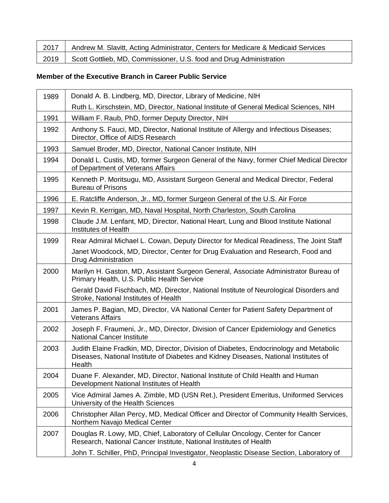| 2017 | Andrew M. Slavitt, Acting Administrator, Centers for Medicare & Medicaid Services |
|------|-----------------------------------------------------------------------------------|
| 2019 | Scott Gottlieb, MD, Commissioner, U.S. food and Drug Administration               |

#### **Member of the Executive Branch in Career Public Service**

| 1989 | Donald A. B. Lindberg, MD, Director, Library of Medicine, NIH                                                                                                                            |
|------|------------------------------------------------------------------------------------------------------------------------------------------------------------------------------------------|
|      | Ruth L. Kirschstein, MD, Director, National Institute of General Medical Sciences, NIH                                                                                                   |
| 1991 | William F. Raub, PhD, former Deputy Director, NIH                                                                                                                                        |
| 1992 | Anthony S. Fauci, MD, Director, National Institute of Allergy and Infectious Diseases;<br>Director, Office of AIDS Research                                                              |
| 1993 | Samuel Broder, MD, Director, National Cancer Institute, NIH                                                                                                                              |
| 1994 | Donald L. Custis, MD, former Surgeon General of the Navy, former Chief Medical Director<br>of Department of Veterans Affairs                                                             |
| 1995 | Kenneth P. Moritsugu, MD, Assistant Surgeon General and Medical Director, Federal<br><b>Bureau of Prisons</b>                                                                            |
| 1996 | E. Ratcliffe Anderson, Jr., MD, former Surgeon General of the U.S. Air Force                                                                                                             |
| 1997 | Kevin R. Kerrigan, MD, Naval Hospital, North Charleston, South Carolina                                                                                                                  |
| 1998 | Claude J.M. Lenfant, MD, Director, National Heart, Lung and Blood Institute National<br>Institutes of Health                                                                             |
| 1999 | Rear Admiral Michael L. Cowan, Deputy Director for Medical Readiness, The Joint Staff                                                                                                    |
|      | Janet Woodcock, MD, Director, Center for Drug Evaluation and Research, Food and<br><b>Drug Administration</b>                                                                            |
| 2000 | Marilyn H. Gaston, MD, Assistant Surgeon General, Associate Administrator Bureau of<br>Primary Health, U.S. Public Health Service                                                        |
|      | Gerald David Fischbach, MD, Director, National Institute of Neurological Disorders and<br>Stroke, National Institutes of Health                                                          |
| 2001 | James P. Bagian, MD, Director, VA National Center for Patient Safety Department of<br><b>Veterans Affairs</b>                                                                            |
| 2002 | Joseph F. Fraumeni, Jr., MD, Director, Division of Cancer Epidemiology and Genetics<br><b>National Cancer Institute</b>                                                                  |
| 2003 | Judith Elaine Fradkin, MD, Director, Division of Diabetes, Endocrinology and Metabolic<br>Diseases, National Institute of Diabetes and Kidney Diseases, National Institutes of<br>Health |
| 2004 | Duane F. Alexander, MD, Director, National Institute of Child Health and Human<br>Development National Institutes of Health                                                              |
| 2005 | Vice Admiral James A. Zimble, MD (USN Ret.), President Emeritus, Uniformed Services<br>University of the Health Sciences                                                                 |
| 2006 | Christopher Allan Percy, MD, Medical Officer and Director of Community Health Services,<br>Northern Navajo Medical Center                                                                |
| 2007 | Douglas R. Lowy, MD, Chief, Laboratory of Cellular Oncology, Center for Cancer<br>Research, National Cancer Institute, National Institutes of Health                                     |
|      | John T. Schiller, PhD, Principal Investigator, Neoplastic Disease Section, Laboratory of                                                                                                 |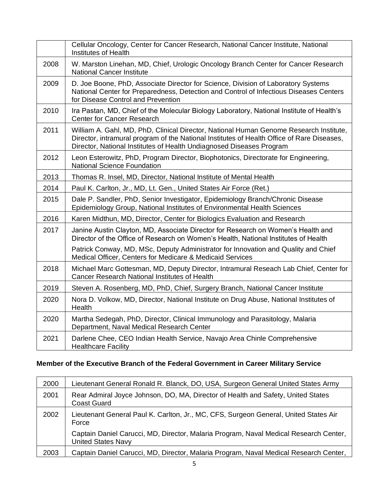|      | Cellular Oncology, Center for Cancer Research, National Cancer Institute, National<br><b>Institutes of Health</b>                                                                                                                                            |
|------|--------------------------------------------------------------------------------------------------------------------------------------------------------------------------------------------------------------------------------------------------------------|
| 2008 | W. Marston Linehan, MD, Chief, Urologic Oncology Branch Center for Cancer Research<br><b>National Cancer Institute</b>                                                                                                                                       |
| 2009 | D. Joe Boone, PhD, Associate Director for Science, Division of Laboratory Systems<br>National Center for Preparedness, Detection and Control of Infectious Diseases Centers<br>for Disease Control and Prevention                                            |
| 2010 | Ira Pastan, MD, Chief of the Molecular Biology Laboratory, National Institute of Health's<br>Center for Cancer Research                                                                                                                                      |
| 2011 | William A. Gahl, MD, PhD, Clinical Director, National Human Genome Research Institute,<br>Director, intramural program of the National Institutes of Health Office of Rare Diseases,<br>Director, National Institutes of Health Undiagnosed Diseases Program |
| 2012 | Leon Esterowitz, PhD, Program Director, Biophotonics, Directorate for Engineering,<br><b>National Science Foundation</b>                                                                                                                                     |
| 2013 | Thomas R. Insel, MD, Director, National Institute of Mental Health                                                                                                                                                                                           |
| 2014 | Paul K. Carlton, Jr., MD, Lt. Gen., United States Air Force (Ret.)                                                                                                                                                                                           |
| 2015 | Dale P. Sandler, PhD, Senior Investigator, Epidemiology Branch/Chronic Disease<br>Epidemiology Group, National Institutes of Environmental Health Sciences                                                                                                   |
| 2016 | Karen Midthun, MD, Director, Center for Biologics Evaluation and Research                                                                                                                                                                                    |
| 2017 | Janine Austin Clayton, MD, Associate Director for Research on Women's Health and<br>Director of the Office of Research on Women's Health, National Institutes of Health                                                                                      |
|      | Patrick Conway, MD, MSc, Deputy Administrator for Innovation and Quality and Chief<br>Medical Officer, Centers for Medicare & Medicaid Services                                                                                                              |
| 2018 | Michael Marc Gottesman, MD, Deputy Director, Intramural Reseach Lab Chief, Center for<br>Cancer Research National Institutes of Health                                                                                                                       |
| 2019 | Steven A. Rosenberg, MD, PhD, Chief, Surgery Branch, National Cancer Institute                                                                                                                                                                               |
| 2020 | Nora D. Volkow, MD, Director, National Institute on Drug Abuse, National Institutes of<br>Health                                                                                                                                                             |
| 2020 | Martha Sedegah, PhD, Director, Clinical Immunology and Parasitology, Malaria<br>Department, Naval Medical Research Center                                                                                                                                    |
| 2021 | Darlene Chee, CEO Indian Health Service, Navajo Area Chinle Comprehensive<br><b>Healthcare Facility</b>                                                                                                                                                      |

## **Member of the Executive Branch of the Federal Government in Career Military Service**

| 2000 | Lieutenant General Ronald R. Blanck, DO, USA, Surgeon General United States Army                                   |
|------|--------------------------------------------------------------------------------------------------------------------|
| 2001 | Rear Admiral Joyce Johnson, DO, MA, Director of Health and Safety, United States<br><b>Coast Guard</b>             |
| 2002 | Lieutenant General Paul K. Carlton, Jr., MC, CFS, Surgeon General, United States Air<br>Force                      |
|      | Captain Daniel Carucci, MD, Director, Malaria Program, Naval Medical Research Center,<br><b>United States Navy</b> |
| 2003 | Captain Daniel Carucci, MD, Director, Malaria Program, Naval Medical Research Center,                              |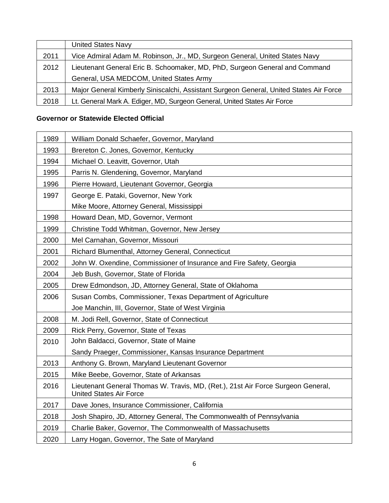|      | <b>United States Navy</b>                                                              |
|------|----------------------------------------------------------------------------------------|
| 2011 | Vice Admiral Adam M. Robinson, Jr., MD, Surgeon General, United States Navy            |
| 2012 | Lieutenant General Eric B. Schoomaker, MD, PhD, Surgeon General and Command            |
|      | General, USA MEDCOM, United States Army                                                |
| 2013 | Major General Kimberly Siniscalchi, Assistant Surgeon General, United States Air Force |
| 2018 | Lt. General Mark A. Ediger, MD, Surgeon General, United States Air Force               |

#### **Governor or Statewide Elected Official**

| 1989 | William Donald Schaefer, Governor, Maryland                                                                        |
|------|--------------------------------------------------------------------------------------------------------------------|
| 1993 | Brereton C. Jones, Governor, Kentucky                                                                              |
| 1994 | Michael O. Leavitt, Governor, Utah                                                                                 |
| 1995 | Parris N. Glendening, Governor, Maryland                                                                           |
| 1996 | Pierre Howard, Lieutenant Governor, Georgia                                                                        |
| 1997 | George E. Pataki, Governor, New York                                                                               |
|      | Mike Moore, Attorney General, Mississippi                                                                          |
| 1998 | Howard Dean, MD, Governor, Vermont                                                                                 |
| 1999 | Christine Todd Whitman, Governor, New Jersey                                                                       |
| 2000 | Mel Carnahan, Governor, Missouri                                                                                   |
| 2001 | Richard Blumenthal, Attorney General, Connecticut                                                                  |
| 2002 | John W. Oxendine, Commissioner of Insurance and Fire Safety, Georgia                                               |
| 2004 | Jeb Bush, Governor, State of Florida                                                                               |
| 2005 | Drew Edmondson, JD, Attorney General, State of Oklahoma                                                            |
| 2006 | Susan Combs, Commissioner, Texas Department of Agriculture                                                         |
|      | Joe Manchin, III, Governor, State of West Virginia                                                                 |
| 2008 | M. Jodi Rell, Governor, State of Connecticut                                                                       |
| 2009 | Rick Perry, Governor, State of Texas                                                                               |
| 2010 | John Baldacci, Governor, State of Maine                                                                            |
|      | Sandy Praeger, Commissioner, Kansas Insurance Department                                                           |
| 2013 | Anthony G. Brown, Maryland Lieutenant Governor                                                                     |
| 2015 | Mike Beebe, Governor, State of Arkansas                                                                            |
| 2016 | Lieutenant General Thomas W. Travis, MD, (Ret.), 21st Air Force Surgeon General,<br><b>United States Air Force</b> |
| 2017 | Dave Jones, Insurance Commissioner, California                                                                     |
| 2018 | Josh Shapiro, JD, Attorney General, The Commonwealth of Pennsylvania                                               |
| 2019 | Charlie Baker, Governor, The Commonwealth of Massachusetts                                                         |
| 2020 | Larry Hogan, Governor, The Sate of Maryland                                                                        |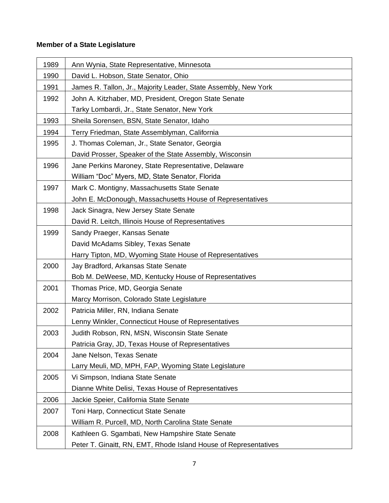#### **Member of a State Legislature**

| 1989 | Ann Wynia, State Representative, Minnesota                       |
|------|------------------------------------------------------------------|
| 1990 | David L. Hobson, State Senator, Ohio                             |
| 1991 | James R. Tallon, Jr., Majority Leader, State Assembly, New York  |
| 1992 | John A. Kitzhaber, MD, President, Oregon State Senate            |
|      | Tarky Lombardi, Jr., State Senator, New York                     |
| 1993 | Sheila Sorensen, BSN, State Senator, Idaho                       |
| 1994 | Terry Friedman, State Assemblyman, California                    |
| 1995 | J. Thomas Coleman, Jr., State Senator, Georgia                   |
|      | David Prosser, Speaker of the State Assembly, Wisconsin          |
| 1996 | Jane Perkins Maroney, State Representative, Delaware             |
|      | William "Doc" Myers, MD, State Senator, Florida                  |
| 1997 | Mark C. Montigny, Massachusetts State Senate                     |
|      | John E. McDonough, Massachusetts House of Representatives        |
| 1998 | Jack Sinagra, New Jersey State Senate                            |
|      | David R. Leitch, Illinois House of Representatives               |
| 1999 | Sandy Praeger, Kansas Senate                                     |
|      | David McAdams Sibley, Texas Senate                               |
|      | Harry Tipton, MD, Wyoming State House of Representatives         |
| 2000 | Jay Bradford, Arkansas State Senate                              |
|      | Bob M. DeWeese, MD, Kentucky House of Representatives            |
| 2001 | Thomas Price, MD, Georgia Senate                                 |
|      | Marcy Morrison, Colorado State Legislature                       |
| 2002 | Patricia Miller, RN, Indiana Senate                              |
|      | Lenny Winkler, Connecticut House of Representatives              |
| 2003 | Judith Robson, RN, MSN, Wisconsin State Senate                   |
|      | Patricia Gray, JD, Texas House of Representatives                |
| 2004 | Jane Nelson, Texas Senate                                        |
|      | Larry Meuli, MD, MPH, FAP, Wyoming State Legislature             |
| 2005 | Vi Simpson, Indiana State Senate                                 |
|      | Dianne White Delisi, Texas House of Representatives              |
| 2006 | Jackie Speier, California State Senate                           |
| 2007 | Toni Harp, Connecticut State Senate                              |
|      | William R. Purcell, MD, North Carolina State Senate              |
| 2008 | Kathleen G. Sgambati, New Hampshire State Senate                 |
|      | Peter T. Ginaitt, RN, EMT, Rhode Island House of Representatives |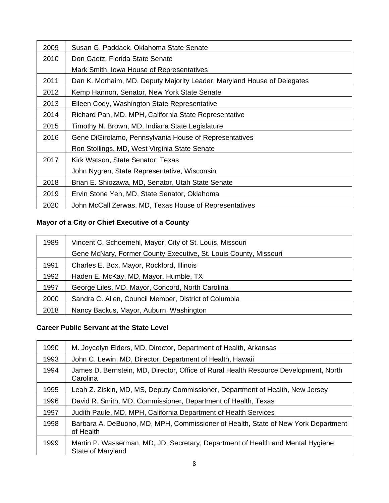| 2009 | Susan G. Paddack, Oklahoma State Senate                                 |
|------|-------------------------------------------------------------------------|
| 2010 | Don Gaetz, Florida State Senate                                         |
|      | Mark Smith, Iowa House of Representatives                               |
| 2011 | Dan K. Morhaim, MD, Deputy Majority Leader, Maryland House of Delegates |
| 2012 | Kemp Hannon, Senator, New York State Senate                             |
| 2013 | Eileen Cody, Washington State Representative                            |
| 2014 | Richard Pan, MD, MPH, California State Representative                   |
| 2015 | Timothy N. Brown, MD, Indiana State Legislature                         |
| 2016 | Gene DiGirolamo, Pennsylvania House of Representatives                  |
|      | Ron Stollings, MD, West Virginia State Senate                           |
| 2017 | Kirk Watson, State Senator, Texas                                       |
|      | John Nygren, State Representative, Wisconsin                            |
| 2018 | Brian E. Shiozawa, MD, Senator, Utah State Senate                       |
| 2019 | Ervin Stone Yen, MD, State Senator, Oklahoma                            |
| 2020 | John McCall Zerwas, MD, Texas House of Representatives                  |

# **Mayor of a City or Chief Executive of a County**

| 1989 | Vincent C. Schoemehl, Mayor, City of St. Louis, Missouri         |
|------|------------------------------------------------------------------|
|      | Gene McNary, Former County Executive, St. Louis County, Missouri |
| 1991 | Charles E. Box, Mayor, Rockford, Illinois                        |
| 1992 | Haden E. McKay, MD, Mayor, Humble, TX                            |
| 1997 | George Liles, MD, Mayor, Concord, North Carolina                 |
| 2000 | Sandra C. Allen, Council Member, District of Columbia            |
| 2018 | Nancy Backus, Mayor, Auburn, Washington                          |

# **Career Public Servant at the State Level**

| 1990 | M. Joycelyn Elders, MD, Director, Department of Health, Arkansas                                      |
|------|-------------------------------------------------------------------------------------------------------|
| 1993 | John C. Lewin, MD, Director, Department of Health, Hawaii                                             |
| 1994 | James D. Bernstein, MD, Director, Office of Rural Health Resource Development, North<br>Carolina      |
| 1995 | Leah Z. Ziskin, MD, MS, Deputy Commissioner, Department of Health, New Jersey                         |
| 1996 | David R. Smith, MD, Commissioner, Department of Health, Texas                                         |
| 1997 | Judith Paule, MD, MPH, California Department of Health Services                                       |
| 1998 | Barbara A. DeBuono, MD, MPH, Commissioner of Health, State of New York Department<br>of Health        |
| 1999 | Martin P. Wasserman, MD, JD, Secretary, Department of Health and Mental Hygiene,<br>State of Maryland |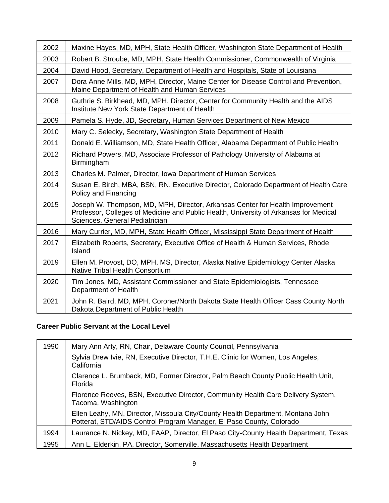| 2002 | Maxine Hayes, MD, MPH, State Health Officer, Washington State Department of Health                                                                                                                       |
|------|----------------------------------------------------------------------------------------------------------------------------------------------------------------------------------------------------------|
| 2003 | Robert B. Stroube, MD, MPH, State Health Commissioner, Commonwealth of Virginia                                                                                                                          |
| 2004 | David Hood, Secretary, Department of Health and Hospitals, State of Louisiana                                                                                                                            |
| 2007 | Dora Anne Mills, MD, MPH, Director, Maine Center for Disease Control and Prevention,<br>Maine Department of Health and Human Services                                                                    |
| 2008 | Guthrie S. Birkhead, MD, MPH, Director, Center for Community Health and the AIDS<br>Institute New York State Department of Health                                                                        |
| 2009 | Pamela S. Hyde, JD, Secretary, Human Services Department of New Mexico                                                                                                                                   |
| 2010 | Mary C. Selecky, Secretary, Washington State Department of Health                                                                                                                                        |
| 2011 | Donald E. Williamson, MD, State Health Officer, Alabama Department of Public Health                                                                                                                      |
| 2012 | Richard Powers, MD, Associate Professor of Pathology University of Alabama at<br>Birmingham                                                                                                              |
| 2013 | Charles M. Palmer, Director, Iowa Department of Human Services                                                                                                                                           |
| 2014 | Susan E. Birch, MBA, BSN, RN, Executive Director, Colorado Department of Health Care<br>Policy and Financing                                                                                             |
| 2015 | Joseph W. Thompson, MD, MPH, Director, Arkansas Center for Health Improvement<br>Professor, Colleges of Medicine and Public Health, University of Arkansas for Medical<br>Sciences, General Pediatrician |
| 2016 | Mary Currier, MD, MPH, State Health Officer, Mississippi State Department of Health                                                                                                                      |
| 2017 | Elizabeth Roberts, Secretary, Executive Office of Health & Human Services, Rhode<br>Island                                                                                                               |
| 2019 | Ellen M. Provost, DO, MPH, MS, Director, Alaska Native Epidemiology Center Alaska<br><b>Native Tribal Health Consortium</b>                                                                              |
| 2020 | Tim Jones, MD, Assistant Commissioner and State Epidemiologists, Tennessee<br>Department of Health                                                                                                       |
| 2021 | John R. Baird, MD, MPH, Coroner/North Dakota State Health Officer Cass County North<br>Dakota Department of Public Health                                                                                |

#### **Career Public Servant at the Local Level**

| 1990 | Mary Ann Arty, RN, Chair, Delaware County Council, Pennsylvania                                                                                         |
|------|---------------------------------------------------------------------------------------------------------------------------------------------------------|
|      | Sylvia Drew Ivie, RN, Executive Director, T.H.E. Clinic for Women, Los Angeles,<br>California                                                           |
|      | Clarence L. Brumback, MD, Former Director, Palm Beach County Public Health Unit,<br>Florida                                                             |
|      | Florence Reeves, BSN, Executive Director, Community Health Care Delivery System,<br>Tacoma, Washington                                                  |
|      | Ellen Leahy, MN, Director, Missoula City/County Health Department, Montana John<br>Potterat, STD/AIDS Control Program Manager, El Paso County, Colorado |
| 1994 | Laurance N. Nickey, MD, FAAP, Director, El Paso City-County Health Department, Texas                                                                    |
| 1995 | Ann L. Elderkin, PA, Director, Somerville, Massachusetts Health Department                                                                              |